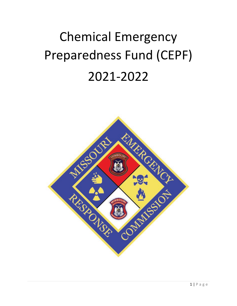# Chemical Emergency Preparedness Fund (CEPF) 2021-2022

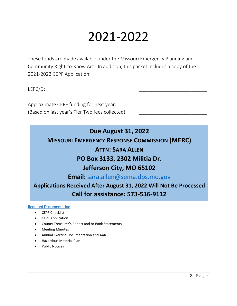## 2021-2022

These funds are made available under the Missouri Emergency Planning and Community Right-to-Know Act. In addition, this packet includes a copy of the 2021-2022 CEPF Application.

LEPC/D: \_\_\_\_\_\_\_\_\_\_\_\_\_\_\_\_\_\_\_\_\_\_\_\_\_

Approximate CEPF funding for next year: (Based on last year's Tier Two fees collected)

### **Due August 31, 2022**

**MISSOURI EMERGENCY RESPONSE COMMISSION (MERC)**

### **ATTN: SARA ALLEN**

### **PO Box 3133, 2302 Militia Dr.**

### **Jefferson City, MO 65102**

**Email:** [sara.allen@sema.dps.mo.gov](mailto:sara.allen@sema.dps.mo.gov)

**Applications Received After August 31, 2022 Will Not Be Processed Call for assistance: 573-536-9112**

#### Required Documentation

- CEPF Checklist
- CEPF Application
- County Treasurer's Report and or Bank Statements
- Meeting Minutes
- Annual Exercise Documentation and AAR
- Hazardous Material Plan
- Public Notices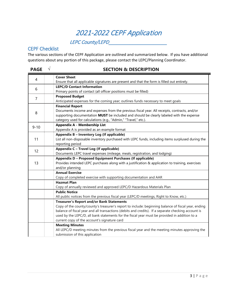### 2021-2022 CEPF Application

### LEPC County/LEPD\_\_\_\_\_\_\_\_\_\_\_\_\_\_\_\_\_\_\_\_\_\_

### CEPF Checklist

The various sections of the CEPF Application are outlined and summarized below. If you have additional questions about any portion of this package, please contact the LEPC/Planning Coordinator.

| <b>PAGE</b>    | V<br><b>SECTION &amp; DESCRIPTION</b>                                                               |
|----------------|-----------------------------------------------------------------------------------------------------|
| 4              | <b>Cover Sheet</b>                                                                                  |
|                | Ensure that all applicable signatures are present and that the form is filled out entirely.         |
| 6              | <b>LEPC/D Contact Information</b>                                                                   |
|                | Primary points of contact (all officer positions must be filled)                                    |
| $\overline{7}$ | <b>Proposed Budget</b>                                                                              |
|                | Anticipated expenses for the coming year; outlines funds necessary to meet goals                    |
|                | <b>Financial Report</b>                                                                             |
| 8              | Documents income and expenses from the previous fiscal year. All receipts, contracts, and/or        |
|                | supporting documentation MUST be included and should be clearly labeled with the expense            |
|                | category used for calculations (e.g., "Admin," "Travel," etc.).                                     |
| $9 - 10$       | <b>Appendix A - Membership List</b>                                                                 |
|                | Appendix A is provided as an example format                                                         |
|                | Appendix B - Inventory Log (If applicable)                                                          |
| 11             | List all non-disposable inventory purchased with LEPC funds, including items surplused during the   |
|                | reporting period                                                                                    |
| 12             | Appendix C - Travel Log (If applicable)                                                             |
|                | Documents LEPC travel expenses (mileage, meals, registration, and lodging)                          |
|                | Appendix D - Proposed Equipment Purchases (If applicable)                                           |
| 13             | Provides intended LEPC purchases along with a justification & application to training, exercises    |
|                | and/or planning                                                                                     |
|                | <b>Annual Exercise</b>                                                                              |
|                | Copy of completed exercise with supporting documentation and AAR                                    |
|                | <b>Hazmat Plan</b>                                                                                  |
|                | Copy of annually reviewed and approved LEPC/D Hazardous Materials Plan                              |
|                | <b>Public Notice</b>                                                                                |
|                | All public notices from the previous fiscal year (LEPC/D meetings, Right to Know, etc.)             |
|                | <b>Treasurer's Report and/or Bank Statements</b>                                                    |
|                | Copy of the county/county's treasurer's report to include: beginning balance of fiscal year, ending |
|                | balance of fiscal year and all transactions (debits and credits). If a separate checking account is |
|                | used by the LEPC/D, all bank statements for the fiscal year must be provided in addition to a       |
|                | current copy of the account's signature card                                                        |
|                | <b>Meeting Minutes</b>                                                                              |
|                | All LEPC/D meeting minutes from the previous fiscal year and the meeting minutes approving the      |
|                | submission of this application                                                                      |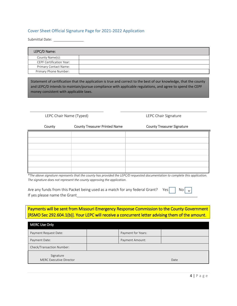#### Cover Sheet Official Signature Page for 2021-2022 Application

Submittal Date:

| LEPC/D Name:                    |  |
|---------------------------------|--|
| County Name(s):                 |  |
| <b>CEPF Certification Year:</b> |  |
| Primary Contact Name:           |  |
| Primary Phone Number:           |  |

Statement of certification that the application is true and correct to the best of our knowledge, that the county and LEPC/D intends to maintain/pursue compliance with applicable regulations, and agree to spend the CEPF money consistent with applicable laws.

LEPC Chair Name (Typed) LEPC Chair Signature

| County | <b>County Treasurer Printed Name</b> | <b>County Treasurer Signature</b> |
|--------|--------------------------------------|-----------------------------------|
|        |                                      |                                   |
|        |                                      |                                   |
|        |                                      |                                   |
|        |                                      |                                   |
|        |                                      |                                   |
|        |                                      |                                   |
|        |                                      |                                   |

*\*The above signature represents that the county has provided the LEPC/D requested documentation to complete this application. The signature does not represent the county approving the application.* 

| Are any funds from this Packet being used as a match for any federal Grant? Yes No $\sqrt{ }$ |  |  |  |
|-----------------------------------------------------------------------------------------------|--|--|--|
| If yes please name the Grant                                                                  |  |  |  |

### Payments will be sent from Missouri Emergency Response Commission to the County Government [RSMO Sec 292.604.1(b)]. Your LEPC will receive a concurrent letter advising them of the amount.

| <b>MERC Use Only</b>                 |  |                    |      |  |  |  |
|--------------------------------------|--|--------------------|------|--|--|--|
| Payment Request Date:                |  | Payment for Years: |      |  |  |  |
| Payment Date:                        |  | Payment Amount:    |      |  |  |  |
| Check/Transaction Number:            |  |                    |      |  |  |  |
| Signature<br>MERC Executive Director |  |                    | Date |  |  |  |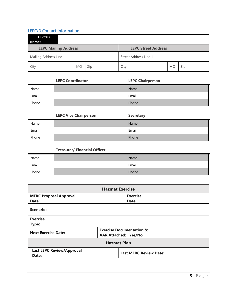### LEPC/D Contact Information

| LEPC/D<br>Name:                                           |           |     |                       |           |     |
|-----------------------------------------------------------|-----------|-----|-----------------------|-----------|-----|
| <b>LEPC Mailing Address</b><br><b>LEPC Street Address</b> |           |     |                       |           |     |
| Mailing Address Line 1                                    |           |     | Street Address Line 1 |           |     |
| City                                                      | <b>MO</b> | Zip | City                  | <b>MO</b> | Zip |

|       | <b>LEPC Coordinator</b> | <b>LEPC Chairperson</b> |
|-------|-------------------------|-------------------------|
| Name  |                         | <b>Name</b>             |
| Email |                         | Email                   |
| Phone |                         | Phone                   |
|       |                         |                         |

|       | <b>LEPC Vice Chairperson</b> | <b>Secretary</b> |
|-------|------------------------------|------------------|
| Name  |                              | Name             |
| Email |                              | Email            |
| Phone |                              | Phone            |

| Name  | Name  |
|-------|-------|
| Email | Email |
| Phone | Phone |

| <b>Hazmat Exercise</b>                                            |                             |                                     |  |  |  |
|-------------------------------------------------------------------|-----------------------------|-------------------------------------|--|--|--|
| <b>MERC Proposal Approval</b>                                     |                             | <b>Exercise</b>                     |  |  |  |
| Date:                                                             |                             | Date:                               |  |  |  |
| Scenario:                                                         |                             |                                     |  |  |  |
| <b>Exercise</b>                                                   |                             |                                     |  |  |  |
| Type:                                                             |                             |                                     |  |  |  |
| <b>Next Exercise Date:</b>                                        |                             | <b>Exercise Documentation &amp;</b> |  |  |  |
|                                                                   | <b>AAR Attached: Yes/No</b> |                                     |  |  |  |
| <b>Hazmat Plan</b>                                                |                             |                                     |  |  |  |
| <b>Last LEPC Review/Approval</b><br><b>Last MERC Review Date:</b> |                             |                                     |  |  |  |
| Date:                                                             |                             |                                     |  |  |  |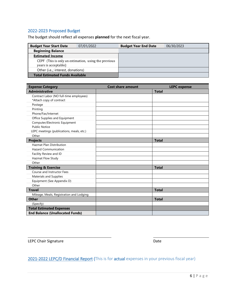### 2022-2023 Proposed Budget

The budget should reflect all expenses **planned** for the next fiscal year.

| <b>Budget Year Start Date</b>          | 07/01/2022                                           | <b>Budget Year End Date</b> | 06/30/2023 |
|----------------------------------------|------------------------------------------------------|-----------------------------|------------|
| <b>Beginning Balance</b>               |                                                      |                             |            |
| <b>Estimated Income</b>                |                                                      |                             |            |
| years is acceptable)                   | CEPF (This is only an estimation, using the previous |                             |            |
| Other (i.e.,; interest, donations)     |                                                      |                             |            |
| <b>Total Estimated Funds Available</b> |                                                      |                             |            |

| <b>Expense Category</b>                   | <b>Cost share amount</b> | <b>LEPC</b> expense |
|-------------------------------------------|--------------------------|---------------------|
| <b>Administrative</b>                     |                          | <b>Total</b>        |
| Contract Labor (NO full-time employees)   |                          |                     |
| *Attach copy of contract                  |                          |                     |
| Postage                                   |                          |                     |
| Printing                                  |                          |                     |
| Phone/Fax/Internet                        |                          |                     |
| Office Supplies and Equipment             |                          |                     |
| Computer/Electronic Equipment             |                          |                     |
| <b>Public Notice</b>                      |                          |                     |
| LEPC meetings (publications, meals, etc.) |                          |                     |
| Other                                     |                          |                     |
| <b>Projects</b>                           |                          | <b>Total</b>        |
| <b>Hazmat Plan Distribution</b>           |                          |                     |
| <b>Hazard Communication</b>               |                          |                     |
| Facility Review and ID                    |                          |                     |
| Hazmat Flow Study                         |                          |                     |
| Other                                     |                          |                     |
| <b>Training &amp; Exercise</b>            |                          | <b>Total</b>        |
| Course and Instructor Fees                |                          |                     |
| <b>Materials and Supplies</b>             |                          |                     |
| Equipment (See Appendix D)                |                          |                     |
| Other                                     |                          |                     |
| <b>Travel</b>                             |                          | <b>Total</b>        |
| Mileage, Meals, Registration and Lodging  |                          |                     |
| Other                                     |                          | <b>Total</b>        |
| (Specify)                                 |                          |                     |
| <b>Total Estimated Expenses</b>           |                          |                     |
| <b>End Balance (Unallocated Funds)</b>    |                          |                     |

LEPC Chair Signature **Date** 

### 2021-2022 LEPC/D Financial Report (This is for actual expenses in your previous fiscal year)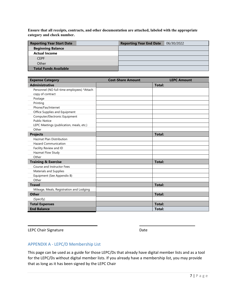**Ensure that all receipts, contracts, and other documentation are attached, labeled with the appropriate category and check number.**

| <b>Reporting Year Start Date</b> | <b>Reporting Year End Date</b> | 06/30/2022 |
|----------------------------------|--------------------------------|------------|
| <b>Beginning Balance</b>         |                                |            |
| <b>Actual Income</b>             |                                |            |
| <b>CEPF</b>                      |                                |            |
| Other                            |                                |            |
| <b>Total Funds Available</b>     |                                |            |

| <b>Expense Category</b>                    | <b>Cost-Share Amount</b> | <b>LEPC Amount</b> |
|--------------------------------------------|--------------------------|--------------------|
| <b>Administrative</b>                      |                          | <b>Total:</b>      |
| Personnel (NO full-time employees) *Attach |                          |                    |
| copy of contract                           |                          |                    |
| Postage                                    |                          |                    |
| Printing                                   |                          |                    |
| Phone/Fax/Internet                         |                          |                    |
| Office Supplies and Equipment              |                          |                    |
| Computer/Electronic Equipment              |                          |                    |
| <b>Public Notice</b>                       |                          |                    |
| LEPC Meetings (publication, meals, etc.)   |                          |                    |
| Other                                      |                          |                    |
| <b>Projects</b>                            |                          | <b>Total:</b>      |
| <b>Hazmat Plan Distribution</b>            |                          |                    |
| <b>Hazard Communication</b>                |                          |                    |
| Facility Review and ID                     |                          |                    |
| Hazmat Flow Study                          |                          |                    |
| Other                                      |                          |                    |
| <b>Training &amp; Exercise</b>             |                          | <b>Total:</b>      |
| Course and Instructor Fees                 |                          |                    |
| <b>Materials and Supplies</b>              |                          |                    |
| Equipment (See Appendix B)                 |                          |                    |
| Other                                      |                          |                    |
| <b>Travel</b>                              |                          | <b>Total:</b>      |
| Mileage, Meals, Registration and Lodging   |                          |                    |
| <b>Other</b>                               |                          | Total:             |
| (Specify)                                  |                          |                    |
| <b>Total Expenses</b>                      |                          | <b>Total:</b>      |
| <b>End Balance</b>                         |                          | Total:             |

LEPC Chair Signature Date

### APPENDIX A - LEPC/D Membership List

This page can be used as a guide for those LEPC/Ds that already have digital member lists and as a tool for the LEPC/Ds without digital member lists. If you already have a membership list, you may provide that as long as it has been signed by the LEPC Chair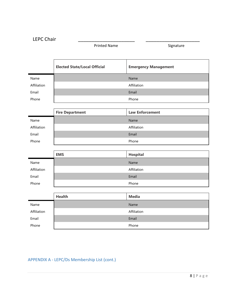Printed Name Signature

|             | <b>Elected State/Local Official</b> | <b>Emergency Management</b> |
|-------------|-------------------------------------|-----------------------------|
| Name        |                                     | Name                        |
| Affiliation |                                     | Affiliation                 |
| Email       |                                     | Email                       |
| Phone       |                                     | Phone                       |
|             |                                     |                             |
|             | <b>Fire Department</b>              | <b>Law Enforcement</b>      |
| Name        |                                     | Name                        |
| Affiliation |                                     | Affiliation                 |
| Email       |                                     | Email                       |
| Phone       |                                     | Phone                       |
|             |                                     |                             |
|             | <b>EMS</b>                          | <b>Hospital</b>             |
| Name        |                                     | Name                        |
| Affiliation |                                     | Affiliation                 |
| Email       |                                     | Email                       |
| Phone       |                                     | Phone                       |
|             |                                     |                             |
|             | <b>Health</b>                       | <b>Media</b>                |
| Name        |                                     | Name                        |
| Affiliation |                                     | Affiliation                 |
| Email       |                                     | Email                       |
| Phone       |                                     | Phone                       |

### APPENDIX A - LEPC/Ds Membership List (cont.)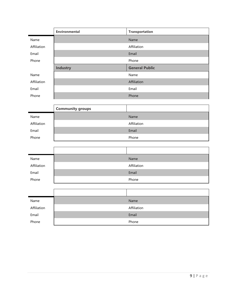|             | <b>Environmental</b>    | <b>Transportation</b> |
|-------------|-------------------------|-----------------------|
| Name        |                         | Name                  |
| Affiliation |                         | Affiliation           |
| Email       |                         | Email                 |
| Phone       |                         | Phone                 |
|             | <b>Industry</b>         | <b>General Public</b> |
| Name        |                         | Name                  |
| Affiliation |                         | Affiliation           |
| Email       |                         | Email                 |
| Phone       |                         | Phone                 |
|             |                         |                       |
|             | <b>Community groups</b> |                       |
| Name        |                         | Name                  |
| Affiliation |                         | Affiliation           |
| Email       |                         | Email                 |
| Phone       |                         | Phone                 |
|             |                         |                       |
|             |                         |                       |
| Name        |                         | Name                  |
| Affiliation |                         | Affiliation           |
| Email       |                         | Email                 |
| Phone       |                         | Phone                 |
|             |                         |                       |
|             |                         |                       |
| Name        |                         | Name                  |
| Affiliation |                         | Affiliation           |
| Email       |                         | Email                 |
| Phone       |                         | Phone                 |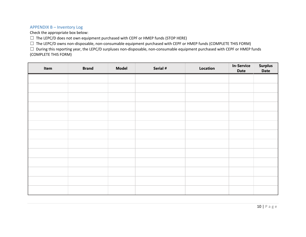#### APPENDIX B – Inventory Log

Check the appropriate box below:

 $\Box$  The LEPC/D does not own equipment purchased with CEPF or HMEP funds (STOP HERE)

☐ The LEPC/D owns non-disposable, non-consumable equipment purchased with CEPF or HMEP funds (COMPLETE THIS FORM)

☐ During this reporting year, the LEPC/D surpluses non-disposable, non-consumable equipment purchased with CEPF or HMEP funds (COMPLETE THIS FORM)

| Item | <b>Brand</b> | <b>Model</b> | Serial # | Location | <b>In-Service</b><br><b>Date</b> | Surplus<br>Date |
|------|--------------|--------------|----------|----------|----------------------------------|-----------------|
|      |              |              |          |          |                                  |                 |
|      |              |              |          |          |                                  |                 |
|      |              |              |          |          |                                  |                 |
|      |              |              |          |          |                                  |                 |
|      |              |              |          |          |                                  |                 |
|      |              |              |          |          |                                  |                 |
|      |              |              |          |          |                                  |                 |
|      |              |              |          |          |                                  |                 |
|      |              |              |          |          |                                  |                 |
|      |              |              |          |          |                                  |                 |
|      |              |              |          |          |                                  |                 |
|      |              |              |          |          |                                  |                 |
|      |              |              |          |          |                                  |                 |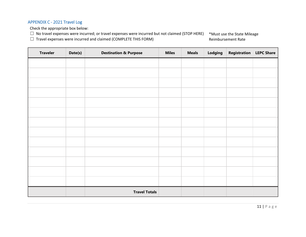### APPENDIX C - 2021 Travel Log

Check the appropriate box below:

☐ No travel expenses were incurred; or travel expenses were incurred but not claimed (STOP HERE)

☐ Travel expenses were incurred and claimed (COMPLETE THIS FORM)

\*Must use the State Mileage Reimbursement Rate

| <b>Traveler</b> | Date(s) | <b>Destination &amp; Purpose</b> | <b>Miles</b> | <b>Meals</b> | Lodging | Registration   LEPC Share |  |
|-----------------|---------|----------------------------------|--------------|--------------|---------|---------------------------|--|
|                 |         |                                  |              |              |         |                           |  |
|                 |         |                                  |              |              |         |                           |  |
|                 |         |                                  |              |              |         |                           |  |
|                 |         |                                  |              |              |         |                           |  |
|                 |         |                                  |              |              |         |                           |  |
|                 |         |                                  |              |              |         |                           |  |
|                 |         |                                  |              |              |         |                           |  |
|                 |         |                                  |              |              |         |                           |  |
|                 |         |                                  |              |              |         |                           |  |
|                 |         |                                  |              |              |         |                           |  |
|                 |         |                                  |              |              |         |                           |  |
|                 |         |                                  |              |              |         |                           |  |
|                 |         |                                  |              |              |         |                           |  |
|                 |         | <b>Travel Totals</b>             |              |              |         |                           |  |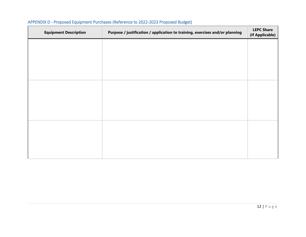| <b>Equipment Description</b> | Purpose / justification / application to training, exercises and/or planning | <b>LEPC Share</b><br>(If Applicable) |
|------------------------------|------------------------------------------------------------------------------|--------------------------------------|
|                              |                                                                              |                                      |
|                              |                                                                              |                                      |
|                              |                                                                              |                                      |
|                              |                                                                              |                                      |
|                              |                                                                              |                                      |
|                              |                                                                              |                                      |
|                              |                                                                              |                                      |
|                              |                                                                              |                                      |
|                              |                                                                              |                                      |

### APPENDIX D - Proposed Equipment Purchases (Reference to 2022-2023 Proposed Budget)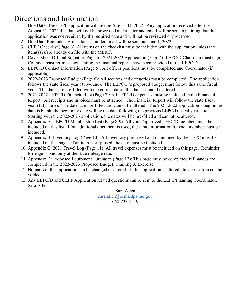### Directions and Information

- 1. Due Date: The CEPF application will be due August 31, 2022. Any application received after the August 31, 2022 due date will not be processed and a letter and email will be sent explaining that the application was not received by the required date and will not be reviewed or processed.
- 2. Due Date Reminder: A due date reminder email will be sent out June 1, 2022.
- 3. CEPF Checklist (Page 3): All items on the checklist must be included with the application unless the item(s) is/are already on file with the MERC.
- 4. Cover Sheet Official Signature Page for 2021-2022 Application (Page 4): LEPC/D Chairman must sign, County Treasurer must sign stating the financial reports have been provided to the LEPC/D.
- 5. LEPC/D Contact Information (Page 5): All officer positions must be completed and Coordinator (if applicable).
- 6. 2022-2023 Proposed Budget (Page 6): All sections and categories must be completed. The application follows the state fiscal year (July-June). The LEPC/D's proposed budget must follow this same fiscal year. The dates are pre-filled with the correct dates, the dates cannot be altered.
- 7. 2021-2022 LEPC/D Financial List (Page 7): All LEPC/D expenses must be included in the Financial Report. All receipts and invoices must be attached. The Financial Report will follow the state fiscal year (July-June). The dates are pre-filled and cannot be altered. The 2021-2022 application's beginning date is blank, the beginning date will be the date following the previous LEPC/D fiscal year date. Starting with the 2022-2023 application, the dates will be pre-filled and cannot be altered.
- 8. Appendix A: LEPC/D Membership List (Page 8-9): All voted/approved LEPC/D members must be included on this list. If an additional document is used, the same information for each member must be included.
- 9. Appendix B: Inventory Log (Page 10): All inventory purchased and maintained by the LEPC must be included on this page. If an item is surplused, the date must be included.
- 10. Appendix C: 2021 Travel Log (Page 11): All travel expenses must be included on this page. Reminder: Mileage is paid only at the state mileage rate.
- 11. Appendix D: Proposed Equipment Purchases (Page 12): This page must be completed if finances are completed in the 2022-2023 Proposed Budget: Training & Exercise.
- 12. No parts of the application can be changed or altered. If the application is altered, the application can be voided.
- 13. Any LEPC/D and CEPF Application related questions can be sent to the LEPC/Planning Coordinator, Sara Allen.

Sara Allen [sara.allen@sema.dps.mo.gov](mailto:sara.allen@sema.dps.mo.gov) 660-233-6419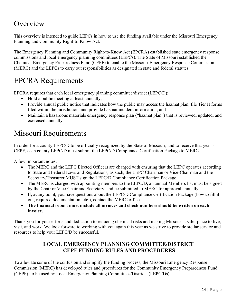### **Overview**

This overview is intended to guide LEPCs in how to use the funding available under the Missouri Emergency Planning and Community Right-to-Know Act.

The Emergency Planning and Community Right-to-Know Act (EPCRA) established state emergency response commissions and local emergency planning committees (LEPCs). The State of Missouri established the Chemical Emergency Preparedness Fund (CEPF) to enable the Missouri Emergency Response Commission (MERC) and the LEPCs to carry out responsibilities as designated in state and federal statutes.

### EPCRA Requirements

EPCRA requires that each local emergency planning committee/district (LEPC/D):

- Hold a public meeting at least annually;
- Provide annual public notice that indicates how the public may access the hazmat plan, file Tier II forms filed within the jurisdiction, and provide hazmat incident information; and
- Maintain a hazardous materials emergency response plan ("hazmat plan") that is reviewed, updated, and exercised annually.

### Missouri Requirements

In order for a county LEPC/D to be officially recognized by the State of Missouri, and to receive that year's CEPF, each county LEPC/D must submit the LEPC/D Compliance Certification Package to MERC.

A few important notes:

- The MERC and the LEPC Elected Officers are charged with ensuring that the LEPC operates according to State and Federal Laws and Regulations; as such, the LEPC Chairman or Vice-Chairman and the Secretary/Treasurer MUST sign the LEPC/D Compliance Certification Package.
- The MERC is charged with appointing members to the LEPC/D, an annual Members list must be signed by the Chair or Vice-Chair and Secretary, and be submitted to MERC for approval annually.
- If, at any point, you have questions about the LEPC/D Compliance Certification Package (how to fill it out, required documentation, etc.), contact the MERC office.
- **The financial report must include all invoices and check numbers should be written on each invoice.**

Thank you for your efforts and dedication to reducing chemical risks and making Missouri a safer place to live, visit, and work. We look forward to working with you again this year as we strive to provide stellar service and resources to help your LEPC/D be successful.

### **LOCAL EMERGENCY PLANNING COMMITTEE/DISTRICT CEPF FUNDING RULES AND PROCEDURES**

To alleviate some of the confusion and simplify the funding process, the Missouri Emergency Response Commission (MERC) has developed rules and procedures for the Community Emergency Preparedness Fund (CEPF), to be used by Local Emergency Planning Committees/Districts (LEPC/Ds).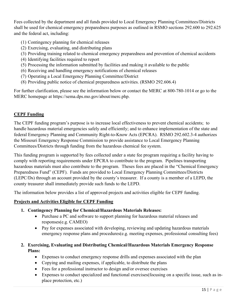Fees collected by the department and all funds provided to Local Emergency Planning Committees/Districts shall be used for chemical emergency preparedness purposes as outlined in RSMO sections 292.600 to 292.625 and the federal act, including:

- (1) Contingency planning for chemical releases
- (2) Exercising, evaluating, and distributing plans
- (3) Providing training related to chemical emergency preparedness and prevention of chemical accidents
- (4) Identifying facilities required to report
- (5) Processing the information submitted by facilities and making it available to the public
- (6) Receiving and handling emergency notifications of chemical releases
- (7) Operating a Local Emergency Planning Committee/District
- (8) Providing public notice of chemical preparedness activities. (RSMO 292.606.4)

For further clarification, please see the information below or contact the MERC at 800-780-1014 or go to the MERC homepage at https://sema.dps.mo.gov/about/merc.php.

### **CEPF Funding**

The CEPF funding program's purpose is to increase local effectiveness to prevent chemical accidents; to handle hazardous material emergencies safely and efficiently; and to enhance implementation of the state and federal Emergency Planning and Community Right-to-Know Acts (EPCRA). RSMO 292.602.3-4 authorizes the Missouri Emergency Response Commission to provide assistance to Local Emergency Planning Committees/Districts through funding from the hazardous chemical fee system.

This funding program is supported by fees collected under a state fee program requiring a facility having to comply with reporting requirements under EPCRA to contribute to the program. Pipelines transporting hazardous materials must also contribute to the program. Theses fees are placed in the "Chemical Emergency Preparedness Fund" (CEPF). Funds are provided to Local Emergency Planning Committees/Districts (LEPC/Ds) through an account provided by the county's treasurer. If a county is a member of a LEPD, the county treasurer shall immediately provide such funds to the LEPD.

The information below provides a list of approved projects and activities eligible for CEPF funding.

### **Projects and Activities Eligible for CEPF Funding**

- **1. Contingency Planning for Chemical/Hazardous Materials Releases:**
	- Purchase a PC and software to support planning for hazardous material releases and responses(e.g. CAMEO)
	- Pay for expenses associated with developing, reviewing and updating hazardous materials emergency response plans and procedures(e.g. meeting expenses, professional consulting fees)

### **2. Exercising, Evaluating and Distributing Chemical/Hazardous Materials Emergency Response Plans:**

- Expenses to conduct emergency response drills and expenses associated with the plan
- Copying and mailing expenses, if applicable, to distribute the plans
- Fees for a professional instructor to design and/or oversee exercises
- Expenses to conduct specialized and functional exercises(focusing on a specific issue, such as inplace protection, etc.)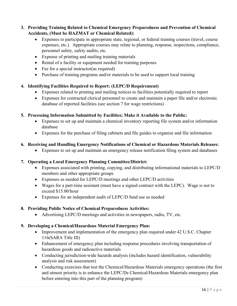**3. Providing Training Related to Chemical Emergency Preparedness and Prevention of Chemical Accidents, (Must be HAZMAT or Chemical Related):**

- Expenses to participate in appropriate state, regional, or federal training courses (travel, course expenses, etc.). Appropriate courses may relate to planning, response, inspections, compliance, personnel safety, safety audits, etc.
- Expense of printing and mailing training materials
- Rental of a facility or equipment needed for training purposes
- Fee for a special instructor (as required)
- Purchase of training programs and/or materials to be used to support local training

### **4. Identifying Facilities Required to Report: (LEPC/D Requirement)**

- Expenses related to printing and mailing notices to facilities potentially required to report
- Expenses for contracted clerical personnel to create and maintain a paper file and/or electronic database of reported facilities (see section 7 for wage restrictions)

### **5. Processing Information Submitted by Facilities; Make it Available to the Public:**

- Expenses to set up and maintain a chemical inventory reporting file system and/or information database
- Expenses for the purchase of filing cabinets and file guides to organize and file information

### **6. Receiving and Handling Emergency Notifications of Chemical or Hazardous Materials Releases:**

• Expenses to set up and maintain an emergency release notification filing system and databases

### **7. Operating a Local Emergency Planning Committee/District:**

- Expenses associated with printing, copying, and distributing informational materials to LEPC/D members and other appropriate groups
- Expenses as needed for LEPC/D meetings and other LEPC/D activities
- Wages for a part-time assistant (must have a signed contract with the LEPC). Wage is not to exceed \$15.00/hour
- Expenses for an independent audit of LEPC/D fund use as needed

### **8. Providing Public Notice of Chemical Preparedness Activities:**

• Advertising LEPC/D meetings and activities in newspapers, radio, TV, etc.

### **9. Developing a Chemical/Hazardous Material Emergency Plan:**

- Improvement and implementation of the emergency plan required under 42 U.S.C. Chapter 116(SARA Title III)
- Enhancement of emergency plan including response procedures involving transportation of hazardous goods and radioactive materials
- Conducting jurisdiction-wide hazards analysis (includes hazard identification, vulnerability analysis and risk assessment)
- Conducting exercises that test the Chemical/Hazardous Materials emergency operations (the first and utmost priority is to enhance the LEPC/Ds Chemical/Hazardous Materials emergency plan before entering into this part of the planning program)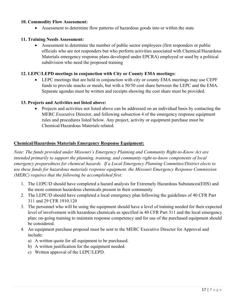### **10. Commodity Flow Assessment:**

• Assessment to determine flow patterns of hazardous goods into or within the state

#### **11. Training Needs Assessment:**

• Assessment to determine the number of public sector employees (first responders or public officials who are not responders but who perform activities associated with Chemical/Hazardous Materials emergency response plans developed under EPCRA) employed or used by a political subdivision who need the proposed training

### **12. LEPC/LEPD meetings in conjunction with City or County EMA meetings:**

• LEPC meetings that are held in conjunction with city or county EMA meetings may use CEPF funds to provide snacks or meals, but with a 50/50 cost share between the LEPC and the EMA. Separate agendas must be written and receipts showing the cost share must be provided.

### **13. Projects and Activities not listed above:**

• Projects and activities not listed above can be addressed on an individual basis by contacting the MERC Executive Director, and following subsection 4 of the emergency response equipment rules and procedures listed below. Any project, activity or equipment purchase must be Chemical/Hazardous Materials related.

### **Chemical/Hazardous Materials Emergency Response Equipment:**

*Note: The funds provided under Missouri's Emergency Planning and Community Right-to-Know Act are intended primarily to support the planning, training, and community right-to-know components of local emergency preparedness for chemical hazards. If a Local Emergency Planning Committee/District elects to use these funds for hazardous materials response equipment, the Missouri Emergency Response Commission (MERC) requires that the following be accomplished first:*

- 1. The LEPC/D should have completed a hazard analysis for Extremely Hazardous Substances(EHS) and the more common hazardous chemicals present in their community
- 2. The LEPC/D should have completed a local emergency plan following the guidelines of 40 CFR Part 311 and 29 CFR 1910.120
- 3. The personnel who will be using the equipment should have a level of training needed for their expected level of involvement with hazardous chemicals as specified in 40 CFR Part 311 and the local emergency plan; on-going training to maintain response competency and for use of the purchased equipment should be considered.
- 4. An equipment purchase proposal must be sent to the MERC Executive Director for Approval and include:
	- a) A written quote for all equipment to be purchased.
	- b) A written justification for the equipment needed.
	- c) Written approval of the LEPC/LEPD.